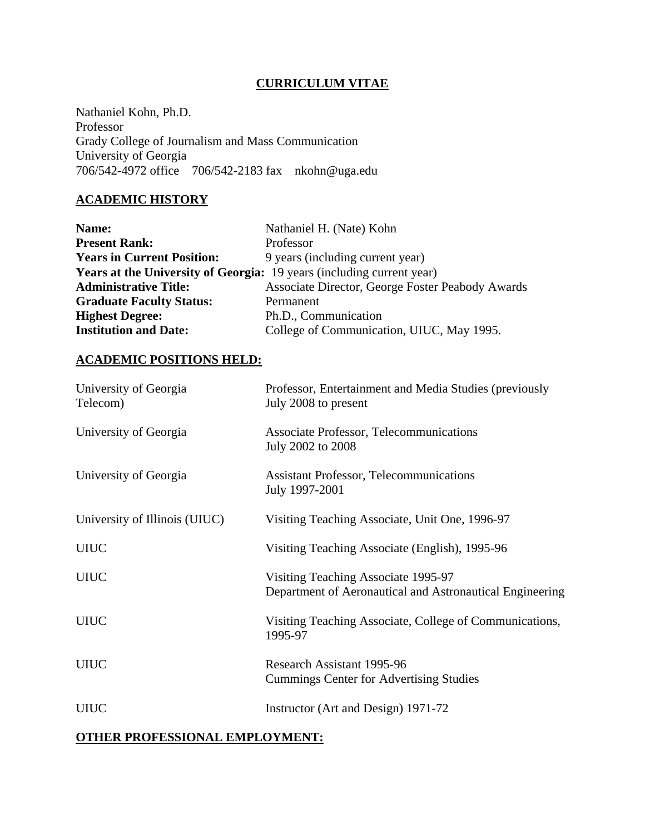#### **CURRICULUM VITAE**

Nathaniel Kohn, Ph.D. Professor Grady College of Journalism and Mass Communication University of Georgia 706/542-4972 office 706/542-2183 fax nkohn@uga.edu

# **ACADEMIC HISTORY**

| Name:                                                                        | Nathaniel H. (Nate) Kohn                         |
|------------------------------------------------------------------------------|--------------------------------------------------|
| <b>Present Rank:</b>                                                         | Professor                                        |
| <b>Years in Current Position:</b>                                            | 9 years (including current year)                 |
| <b>Years at the University of Georgia:</b> 19 years (including current year) |                                                  |
| <b>Administrative Title:</b>                                                 | Associate Director, George Foster Peabody Awards |
| <b>Graduate Faculty Status:</b>                                              | Permanent                                        |
| <b>Highest Degree:</b>                                                       | Ph.D., Communication                             |
| <b>Institution and Date:</b>                                                 | College of Communication, UIUC, May 1995.        |

#### **ACADEMIC POSITIONS HELD:**

| University of Georgia<br>Telecom) | Professor, Entertainment and Media Studies (previously<br>July 2008 to present                  |
|-----------------------------------|-------------------------------------------------------------------------------------------------|
| University of Georgia             | Associate Professor, Telecommunications<br>July 2002 to 2008                                    |
| University of Georgia             | <b>Assistant Professor, Telecommunications</b><br>July 1997-2001                                |
| University of Illinois (UIUC)     | Visiting Teaching Associate, Unit One, 1996-97                                                  |
| <b>UIUC</b>                       | Visiting Teaching Associate (English), 1995-96                                                  |
| <b>UIUC</b>                       | Visiting Teaching Associate 1995-97<br>Department of Aeronautical and Astronautical Engineering |
| <b>UIUC</b>                       | Visiting Teaching Associate, College of Communications,<br>1995-97                              |
| <b>UIUC</b>                       | Research Assistant 1995-96<br><b>Cummings Center for Advertising Studies</b>                    |
| <b>UIUC</b>                       | Instructor (Art and Design) 1971-72                                                             |

# **OTHER PROFESSIONAL EMPLOYMENT:**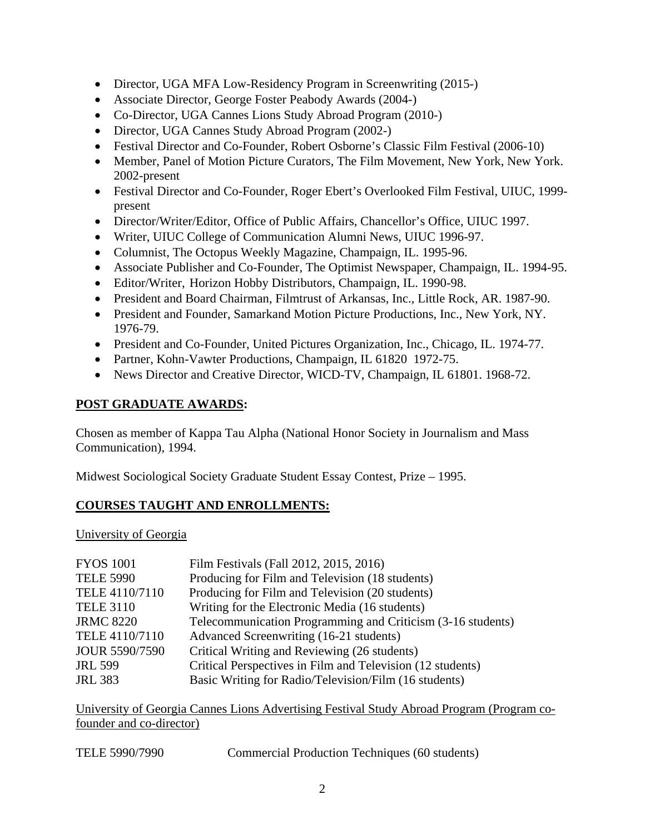- Director, UGA MFA Low-Residency Program in Screenwriting (2015-)
- Associate Director, George Foster Peabody Awards (2004-)
- Co-Director, UGA Cannes Lions Study Abroad Program (2010-)
- Director, UGA Cannes Study Abroad Program (2002-)
- Festival Director and Co-Founder, Robert Osborne's Classic Film Festival (2006-10)
- Member, Panel of Motion Picture Curators, The Film Movement, New York, New York. 2002-present
- Festival Director and Co-Founder, Roger Ebert's Overlooked Film Festival, UIUC, 1999 present
- Director/Writer/Editor, Office of Public Affairs, Chancellor's Office, UIUC 1997.
- Writer, UIUC College of Communication Alumni News, UIUC 1996-97.
- Columnist, The Octopus Weekly Magazine, Champaign, IL. 1995-96.
- Associate Publisher and Co-Founder, The Optimist Newspaper, Champaign, IL. 1994-95.
- Editor/Writer, Horizon Hobby Distributors, Champaign, IL. 1990-98.
- President and Board Chairman, Filmtrust of Arkansas, Inc., Little Rock, AR. 1987-90.
- President and Founder, Samarkand Motion Picture Productions, Inc., New York, NY. 1976-79.
- President and Co-Founder, United Pictures Organization, Inc., Chicago, IL. 1974-77.
- Partner, Kohn-Vawter Productions, Champaign, IL 61820 1972-75.
- News Director and Creative Director, WICD-TV, Champaign, IL 61801. 1968-72.

## **POST GRADUATE AWARDS:**

Chosen as member of Kappa Tau Alpha (National Honor Society in Journalism and Mass Communication), 1994.

Midwest Sociological Society Graduate Student Essay Contest, Prize – 1995.

## **COURSES TAUGHT AND ENROLLMENTS:**

University of Georgia

| <b>FYOS 1001</b>      | Film Festivals (Fall 2012, 2015, 2016)                      |
|-----------------------|-------------------------------------------------------------|
| <b>TELE 5990</b>      | Producing for Film and Television (18 students)             |
| TELE 4110/7110        | Producing for Film and Television (20 students)             |
| <b>TELE 3110</b>      | Writing for the Electronic Media (16 students)              |
| <b>JRMC 8220</b>      | Telecommunication Programming and Criticism (3-16 students) |
| TELE 4110/7110        | Advanced Screenwriting (16-21 students)                     |
| <b>JOUR 5590/7590</b> | Critical Writing and Reviewing (26 students)                |
| <b>JRL 599</b>        | Critical Perspectives in Film and Television (12 students)  |
| <b>JRL 383</b>        | Basic Writing for Radio/Television/Film (16 students)       |
|                       |                                                             |

University of Georgia Cannes Lions Advertising Festival Study Abroad Program (Program cofounder and co-director)

| TELE 5990/7990 |  | Commercial Production Techniques (60 students) |
|----------------|--|------------------------------------------------|
|----------------|--|------------------------------------------------|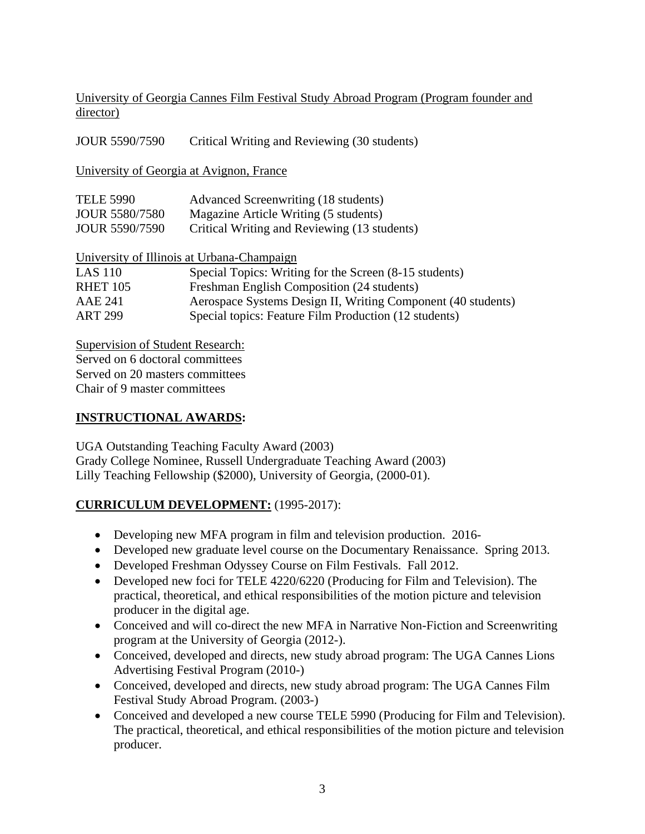University of Georgia Cannes Film Festival Study Abroad Program (Program founder and director)

| <b>JOUR 5590/7590</b>                      | Critical Writing and Reviewing (30 students)                 |  |  |
|--------------------------------------------|--------------------------------------------------------------|--|--|
| University of Georgia at Avignon, France   |                                                              |  |  |
| <b>TELE 5990</b>                           | Advanced Screenwriting (18 students)                         |  |  |
| <b>JOUR 5580/7580</b>                      | Magazine Article Writing (5 students)                        |  |  |
| <b>JOUR 5590/7590</b>                      | Critical Writing and Reviewing (13 students)                 |  |  |
| University of Illinois at Urbana-Champaign |                                                              |  |  |
| <b>LAS 110</b>                             | Special Topics: Writing for the Screen (8-15 students)       |  |  |
| RHET 105                                   | Freshman English Composition (24 students)                   |  |  |
| AAE 241                                    | Aerospace Systems Design II, Writing Component (40 students) |  |  |
| <b>ART 299</b>                             | Special topics: Feature Film Production (12 students)        |  |  |

Supervision of Student Research: Served on 6 doctoral committees

Served on 20 masters committees

Chair of 9 master committees

## **INSTRUCTIONAL AWARDS:**

UGA Outstanding Teaching Faculty Award (2003) Grady College Nominee, Russell Undergraduate Teaching Award (2003) Lilly Teaching Fellowship (\$2000), University of Georgia, (2000-01).

### **CURRICULUM DEVELOPMENT:** (1995-2017):

- Developing new MFA program in film and television production. 2016-
- Developed new graduate level course on the Documentary Renaissance. Spring 2013.
- Developed Freshman Odyssey Course on Film Festivals. Fall 2012.
- Developed new foci for TELE 4220/6220 (Producing for Film and Television). The practical, theoretical, and ethical responsibilities of the motion picture and television producer in the digital age.
- Conceived and will co-direct the new MFA in Narrative Non-Fiction and Screenwriting program at the University of Georgia (2012-).
- Conceived, developed and directs, new study abroad program: The UGA Cannes Lions Advertising Festival Program (2010-)
- Conceived, developed and directs, new study abroad program: The UGA Cannes Film Festival Study Abroad Program. (2003-)
- Conceived and developed a new course TELE 5990 (Producing for Film and Television). The practical, theoretical, and ethical responsibilities of the motion picture and television producer.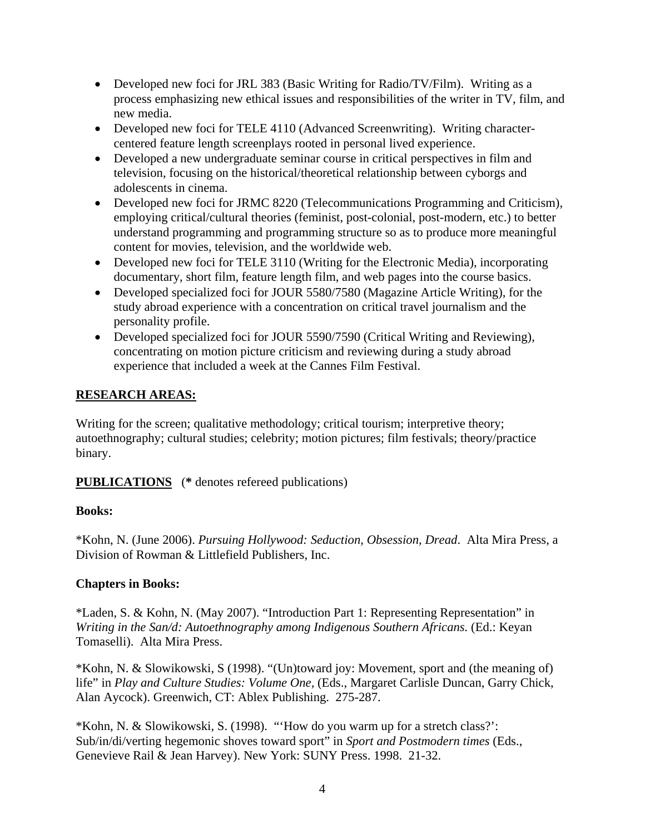- Developed new foci for JRL 383 (Basic Writing for Radio/TV/Film). Writing as a process emphasizing new ethical issues and responsibilities of the writer in TV, film, and new media.
- Developed new foci for TELE 4110 (Advanced Screenwriting). Writing charactercentered feature length screenplays rooted in personal lived experience.
- Developed a new undergraduate seminar course in critical perspectives in film and television, focusing on the historical/theoretical relationship between cyborgs and adolescents in cinema.
- Developed new foci for JRMC 8220 (Telecommunications Programming and Criticism), employing critical/cultural theories (feminist, post-colonial, post-modern, etc.) to better understand programming and programming structure so as to produce more meaningful content for movies, television, and the worldwide web.
- Developed new foci for TELE 3110 (Writing for the Electronic Media), incorporating documentary, short film, feature length film, and web pages into the course basics.
- Developed specialized foci for JOUR 5580/7580 (Magazine Article Writing), for the study abroad experience with a concentration on critical travel journalism and the personality profile.
- Developed specialized foci for JOUR 5590/7590 (Critical Writing and Reviewing), concentrating on motion picture criticism and reviewing during a study abroad experience that included a week at the Cannes Film Festival.

### **RESEARCH AREAS:**

Writing for the screen; qualitative methodology; critical tourism; interpretive theory; autoethnography; cultural studies; celebrity; motion pictures; film festivals; theory/practice binary.

**PUBLICATIONS** (**\*** denotes refereed publications)

### **Books:**

\*Kohn, N. (June 2006). *Pursuing Hollywood: Seduction, Obsession, Dread*. Alta Mira Press, a Division of Rowman & Littlefield Publishers, Inc.

### **Chapters in Books:**

\*Laden, S. & Kohn, N. (May 2007). "Introduction Part 1: Representing Representation" in *Writing in the San/d: Autoethnography among Indigenous Southern Africans.* (Ed.: Keyan Tomaselli). Alta Mira Press.

\*Kohn, N. & Slowikowski, S (1998). "(Un)toward joy: Movement, sport and (the meaning of) life" in *Play and Culture Studies: Volume One,* (Eds., Margaret Carlisle Duncan, Garry Chick, Alan Aycock). Greenwich, CT: Ablex Publishing. 275-287.

\*Kohn, N. & Slowikowski, S. (1998). "'How do you warm up for a stretch class?': Sub/in/di/verting hegemonic shoves toward sport" in *Sport and Postmodern times* (Eds., Genevieve Rail & Jean Harvey). New York: SUNY Press. 1998. 21-32.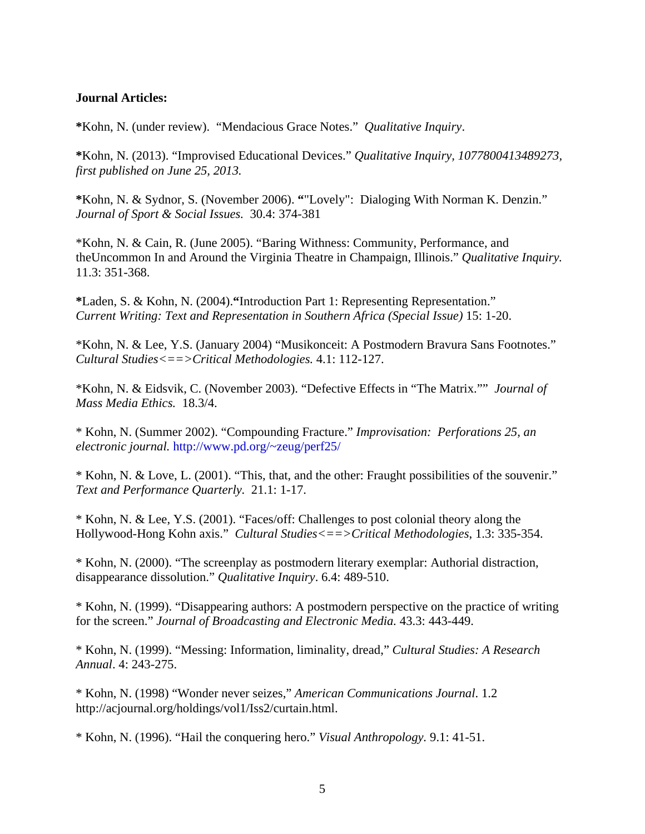#### **Journal Articles:**

**\***Kohn, N. (under review). "Mendacious Grace Notes." *Qualitative Inquiry*.

**\***Kohn, N. (2013). "Improvised Educational Devices." *Qualitative Inquiry, 1077800413489273, first published on June 25, 2013.*

**\***Kohn, N. & Sydnor, S. (November 2006). **"**"Lovely": Dialoging With Norman K. Denzin." *Journal of Sport & Social Issues.* 30.4: 374-381

\*Kohn, N. & Cain, R. (June 2005). "Baring Withness: Community, Performance, and theUncommon In and Around the Virginia Theatre in Champaign, Illinois." *Qualitative Inquiry.* 11.3: 351-368.

**\***Laden, S. & Kohn, N. (2004).**"**Introduction Part 1: Representing Representation." *Current Writing: Text and Representation in Southern Africa (Special Issue)* 15: 1-20.

\*Kohn, N. & Lee, Y.S. (January 2004) "Musikonceit: A Postmodern Bravura Sans Footnotes." *Cultural Studies<==>Critical Methodologies.* 4.1: 112-127.

\*Kohn, N. & Eidsvik, C. (November 2003). "Defective Effects in "The Matrix."" *Journal of Mass Media Ethics.* 18.3/4.

\* Kohn, N. (Summer 2002). "Compounding Fracture." *Improvisation: Perforations 25, an electronic journal.* <http://www.pd.org/~zeug/perf25/>

\* Kohn, N. & Love, L. (2001). "This, that, and the other: Fraught possibilities of the souvenir." *Text and Performance Quarterly.* 21.1: 1-17.

\* Kohn, N. & Lee, Y.S. (2001). "Faces/off: Challenges to post colonial theory along the Hollywood-Hong Kohn axis." *Cultural Studies<==>Critical Methodologies*, 1.3: 335-354.

\* Kohn, N. (2000). "The screenplay as postmodern literary exemplar: Authorial distraction, disappearance dissolution." *Qualitative Inquiry*. 6.4: 489-510.

\* Kohn, N. (1999). "Disappearing authors: A postmodern perspective on the practice of writing for the screen." *Journal of Broadcasting and Electronic Media.* 43.3: 443-449.

\* Kohn, N. (1999). "Messing: Information, liminality, dread," *Cultural Studies: A Research Annual*. 4: 243-275.

\* Kohn, N. (1998) "Wonder never seizes," *American Communications Journal*. 1.2 http://acjournal.org/holdings/vol1/Iss2/curtain.html.

\* Kohn, N. (1996). "Hail the conquering hero." *Visual Anthropology.* 9.1: 41-51.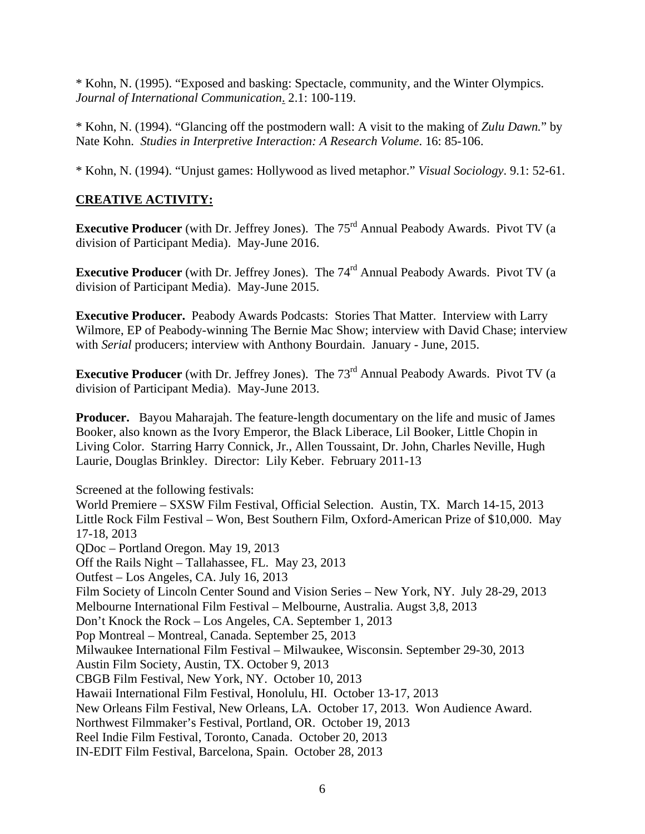\* Kohn, N. (1995). "Exposed and basking: Spectacle, community, and the Winter Olympics. *Journal of International Communication*. 2.1: 100-119.

\* Kohn, N. (1994). "Glancing off the postmodern wall: A visit to the making of *Zulu Dawn.*" by Nate Kohn. *Studies in Interpretive Interaction: A Research Volume*. 16: 85-106.

\* Kohn, N. (1994). "Unjust games: Hollywood as lived metaphor." *Visual Sociology*. 9.1: 52-61.

## **CREATIVE ACTIVITY:**

**Executive Producer** (with Dr. Jeffrey Jones). The 75<sup>rd</sup> Annual Peabody Awards. Pivot TV (a division of Participant Media). May-June 2016.

**Executive Producer** (with Dr. Jeffrey Jones). The 74<sup>rd</sup> Annual Peabody Awards. Pivot TV (a division of Participant Media). May-June 2015.

**Executive Producer.** Peabody Awards Podcasts: Stories That Matter. Interview with Larry Wilmore, EP of Peabody-winning The Bernie Mac Show; interview with David Chase; interview with *Serial* producers; interview with Anthony Bourdain. January - June, 2015.

**Executive Producer** (with Dr. Jeffrey Jones). The 73<sup>rd</sup> Annual Peabody Awards. Pivot TV (a division of Participant Media). May-June 2013.

**Producer.** Bayou Maharajah. The feature-length documentary on the life and music of James Booker, also known as the Ivory Emperor, the Black Liberace, Lil Booker, Little Chopin in Living Color. Starring Harry Connick, Jr., Allen Toussaint, Dr. John, Charles Neville, Hugh Laurie, Douglas Brinkley. Director: Lily Keber. February 2011-13

Screened at the following festivals:

World Premiere – SXSW Film Festival, Official Selection. Austin, TX. March 14-15, 2013 Little Rock Film Festival – Won, Best Southern Film, Oxford-American Prize of \$10,000. May 17-18, 2013 QDoc – Portland Oregon. May 19, 2013 Off the Rails Night – Tallahassee, FL. May 23, 2013 Outfest – Los Angeles, CA. July 16, 2013 Film Society of Lincoln Center Sound and Vision Series – New York, NY. July 28-29, 2013 Melbourne International Film Festival – Melbourne, Australia. Augst 3,8, 2013 Don't Knock the Rock – Los Angeles, CA. September 1, 2013 Pop Montreal – Montreal, Canada. September 25, 2013 Milwaukee International Film Festival – Milwaukee, Wisconsin. September 29-30, 2013 Austin Film Society, Austin, TX. October 9, 2013 CBGB Film Festival, New York, NY. October 10, 2013 Hawaii International Film Festival, Honolulu, HI. October 13-17, 2013 New Orleans Film Festival, New Orleans, LA. October 17, 2013. Won Audience Award. Northwest Filmmaker's Festival, Portland, OR. October 19, 2013 Reel Indie Film Festival, Toronto, Canada. October 20, 2013 IN-EDIT Film Festival, Barcelona, Spain. October 28, 2013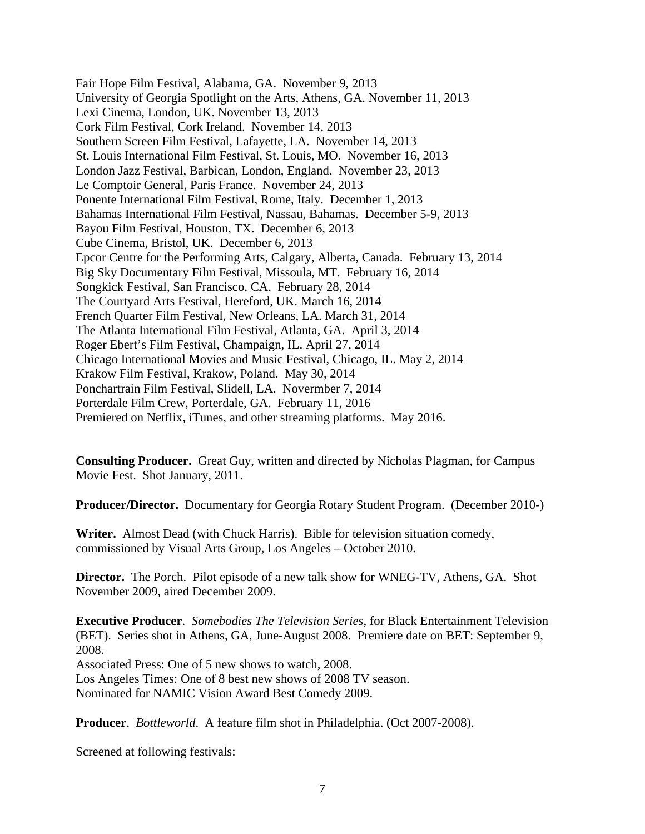Fair Hope Film Festival, Alabama, GA. November 9, 2013 University of Georgia Spotlight on the Arts, Athens, GA. November 11, 2013 Lexi Cinema, London, UK. November 13, 2013 Cork Film Festival, Cork Ireland. November 14, 2013 Southern Screen Film Festival, Lafayette, LA. November 14, 2013 St. Louis International Film Festival, St. Louis, MO. November 16, 2013 London Jazz Festival, Barbican, London, England. November 23, 2013 Le Comptoir General, Paris France. November 24, 2013 Ponente International Film Festival, Rome, Italy. December 1, 2013 Bahamas International Film Festival, Nassau, Bahamas. December 5-9, 2013 Bayou Film Festival, Houston, TX. December 6, 2013 Cube Cinema, Bristol, UK. December 6, 2013 Epcor Centre for the Performing Arts, Calgary, Alberta, Canada. February 13, 2014 Big Sky Documentary Film Festival, Missoula, MT. February 16, 2014 Songkick Festival, San Francisco, CA. February 28, 2014 The Courtyard Arts Festival, Hereford, UK. March 16, 2014 French Quarter Film Festival, New Orleans, LA. March 31, 2014 The Atlanta International Film Festival, Atlanta, GA. April 3, 2014 Roger Ebert's Film Festival, Champaign, IL. April 27, 2014 Chicago International Movies and Music Festival, Chicago, IL. May 2, 2014 Krakow Film Festival, Krakow, Poland. May 30, 2014 Ponchartrain Film Festival, Slidell, LA. Novermber 7, 2014 Porterdale Film Crew, Porterdale, GA. February 11, 2016 Premiered on Netflix, iTunes, and other streaming platforms. May 2016.

**Consulting Producer.** Great Guy, written and directed by Nicholas Plagman, for Campus Movie Fest. Shot January, 2011.

**Producer/Director.** Documentary for Georgia Rotary Student Program. (December 2010-)

**Writer.** Almost Dead (with Chuck Harris). Bible for television situation comedy, commissioned by Visual Arts Group, Los Angeles – October 2010.

**Director.** The Porch. Pilot episode of a new talk show for WNEG-TV, Athens, GA. Shot November 2009, aired December 2009.

**Executive Producer**. *Somebodies The Television Series*, for Black Entertainment Television (BET). Series shot in Athens, GA, June-August 2008. Premiere date on BET: September 9, 2008.

Associated Press: One of 5 new shows to watch, 2008. Los Angeles Times: One of 8 best new shows of 2008 TV season. Nominated for NAMIC Vision Award Best Comedy 2009.

**Producer**. *Bottleworld*. A feature film shot in Philadelphia. (Oct 2007-2008).

Screened at following festivals: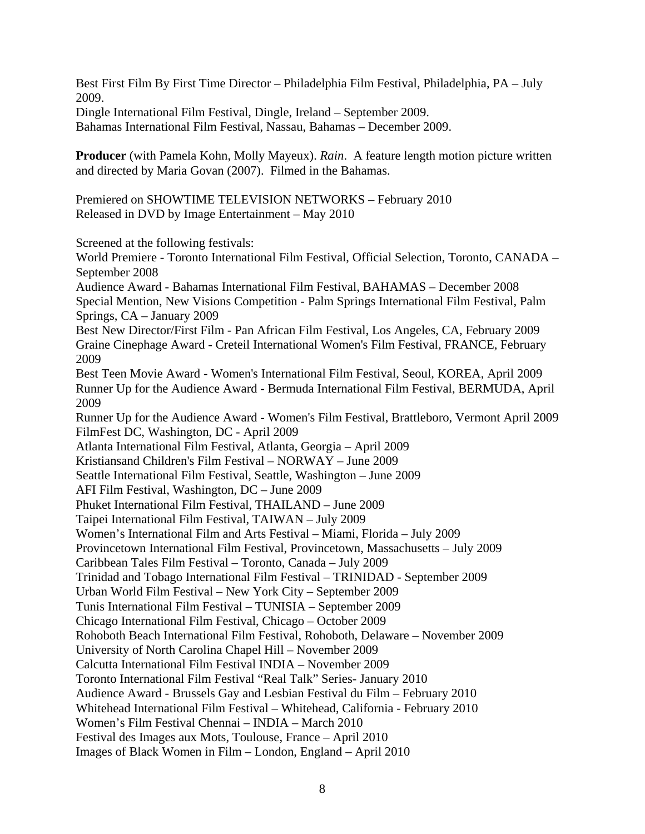Best First Film By First Time Director – Philadelphia Film Festival, Philadelphia, PA – July 2009.

Dingle International Film Festival, Dingle, Ireland – September 2009. Bahamas International Film Festival, Nassau, Bahamas – December 2009.

**Producer** (with Pamela Kohn, Molly Mayeux). *Rain*. A feature length motion picture written and directed by Maria Govan (2007). Filmed in the Bahamas.

Premiered on SHOWTIME TELEVISION NETWORKS – February 2010 Released in DVD by Image Entertainment – May 2010

Screened at the following festivals:

World Premiere - Toronto International Film Festival, Official Selection, Toronto, CANADA – September 2008 Audience Award - Bahamas International Film Festival, BAHAMAS – December 2008 Special Mention, New Visions Competition - Palm Springs International Film Festival, Palm Springs, CA – January 2009 Best New Director/First Film - Pan African Film Festival, Los Angeles, CA, February 2009 Graine Cinephage Award - Creteil International Women's Film Festival, FRANCE, February 2009 Best Teen Movie Award - Women's International Film Festival, Seoul, KOREA, April 2009 Runner Up for the Audience Award - Bermuda International Film Festival, BERMUDA, April 2009 Runner Up for the Audience Award - Women's Film Festival, Brattleboro, Vermont April 2009 FilmFest DC, Washington, DC - April 2009 Atlanta International Film Festival, Atlanta, Georgia – April 2009 Kristiansand Children's Film Festival – NORWAY – June 2009 Seattle International Film Festival, Seattle, Washington – June 2009 AFI Film Festival, Washington, DC – June 2009 Phuket International Film Festival, THAILAND – June 2009 Taipei International Film Festival, TAIWAN – July 2009 Women's International Film and Arts Festival – Miami, Florida – July 2009 Provincetown International Film Festival, Provincetown, Massachusetts – July 2009 Caribbean Tales Film Festival – Toronto, Canada – July 2009 Trinidad and Tobago International Film Festival – TRINIDAD - September 2009 Urban World Film Festival – New York City – September 2009 Tunis International Film Festival – TUNISIA – September 2009 Chicago International Film Festival, Chicago – October 2009 Rohoboth Beach International Film Festival, Rohoboth, Delaware – November 2009 University of North Carolina Chapel Hill – November 2009 Calcutta International Film Festival INDIA – November 2009 Toronto International Film Festival "Real Talk" Series- January 2010 Audience Award - Brussels Gay and Lesbian Festival du Film – February 2010 Whitehead International Film Festival – Whitehead, California - February 2010 Women's Film Festival Chennai – INDIA – March 2010 Festival des Images aux Mots, Toulouse, France – April 2010 Images of Black Women in Film – London, England – April 2010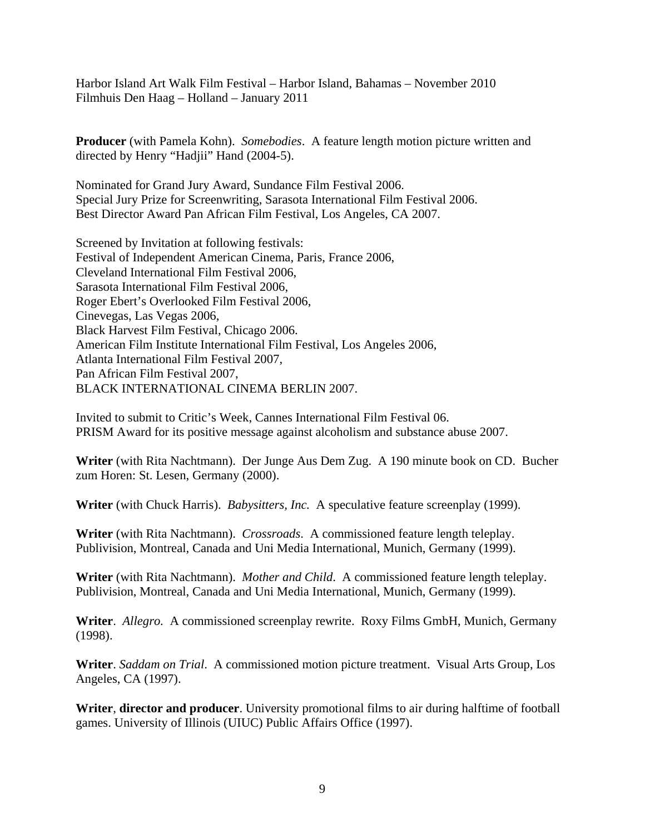Harbor Island Art Walk Film Festival – Harbor Island, Bahamas – November 2010 Filmhuis Den Haag – Holland – January 2011

**Producer** (with Pamela Kohn). *Somebodies*. A feature length motion picture written and directed by Henry "Hadjii" Hand (2004-5).

Nominated for Grand Jury Award, Sundance Film Festival 2006. Special Jury Prize for Screenwriting, Sarasota International Film Festival 2006. Best Director Award Pan African Film Festival, Los Angeles, CA 2007.

Screened by Invitation at following festivals: Festival of Independent American Cinema, Paris, France 2006, Cleveland International Film Festival 2006, Sarasota International Film Festival 2006, Roger Ebert's Overlooked Film Festival 2006, Cinevegas, Las Vegas 2006, Black Harvest Film Festival, Chicago 2006. American Film Institute International Film Festival, Los Angeles 2006, Atlanta International Film Festival 2007, Pan African Film Festival 2007, BLACK INTERNATIONAL CINEMA BERLIN 2007.

Invited to submit to Critic's Week, Cannes International Film Festival 06. PRISM Award for its positive message against alcoholism and substance abuse 2007.

**Writer** (with Rita Nachtmann). Der Junge Aus Dem Zug. A 190 minute book on CD. Bucher zum Horen: St. Lesen, Germany (2000).

**Writer** (with Chuck Harris). *Babysitters, Inc.* A speculative feature screenplay (1999).

**Writer** (with Rita Nachtmann). *Crossroads*. A commissioned feature length teleplay. Publivision, Montreal, Canada and Uni Media International, Munich, Germany (1999).

**Writer** (with Rita Nachtmann). *Mother and Child*. A commissioned feature length teleplay. Publivision, Montreal, Canada and Uni Media International, Munich, Germany (1999).

**Writer**. *Allegro.* A commissioned screenplay rewrite. Roxy Films GmbH, Munich, Germany (1998).

**Writer**. *Saddam on Trial*. A commissioned motion picture treatment. Visual Arts Group, Los Angeles, CA (1997).

**Writer**, **director and producer**. University promotional films to air during halftime of football games. University of Illinois (UIUC) Public Affairs Office (1997).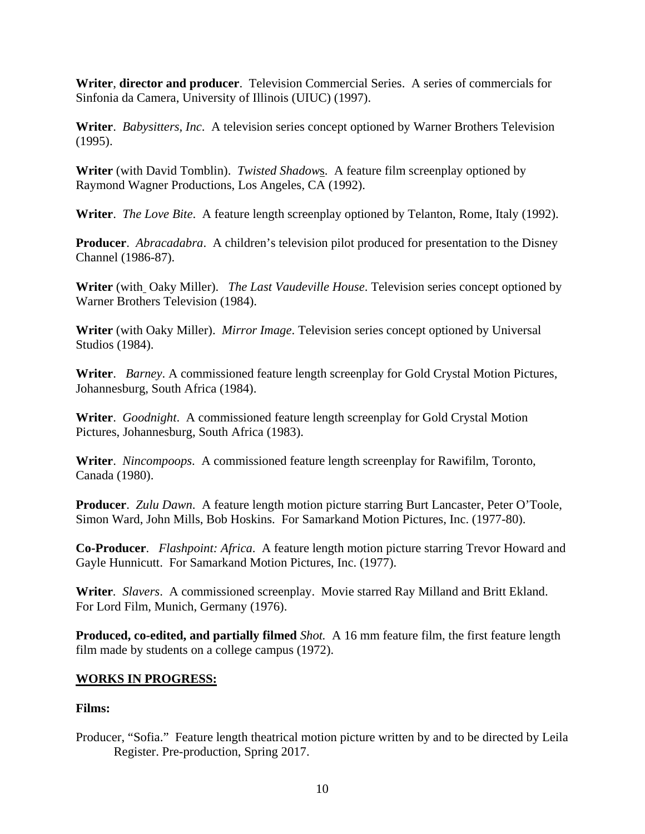**Writer**, **director and producer**. Television Commercial Series. A series of commercials for Sinfonia da Camera, University of Illinois (UIUC) (1997).

**Writer**. *Babysitters, Inc*. A television series concept optioned by Warner Brothers Television (1995).

**Writer** (with David Tomblin). *Twisted Shadow*s. A feature film screenplay optioned by Raymond Wagner Productions, Los Angeles, CA (1992).

**Writer**. *The Love Bite*. A feature length screenplay optioned by Telanton, Rome, Italy (1992).

**Producer**. *Abracadabra*. A children's television pilot produced for presentation to the Disney Channel (1986-87).

**Writer** (with Oaky Miller). *The Last Vaudeville House*. Television series concept optioned by Warner Brothers Television (1984).

**Writer** (with Oaky Miller). *Mirror Image*. Television series concept optioned by Universal Studios (1984).

**Writer**. *Barney*. A commissioned feature length screenplay for Gold Crystal Motion Pictures, Johannesburg, South Africa (1984).

**Writer**. *Goodnight*. A commissioned feature length screenplay for Gold Crystal Motion Pictures, Johannesburg, South Africa (1983).

**Writer**. *Nincompoops*. A commissioned feature length screenplay for Rawifilm, Toronto, Canada (1980).

**Producer**. *Zulu Dawn*. A feature length motion picture starring Burt Lancaster, Peter O'Toole, Simon Ward, John Mills, Bob Hoskins. For Samarkand Motion Pictures, Inc. (1977-80).

**Co-Producer**. *Flashpoint: Africa*. A feature length motion picture starring Trevor Howard and Gayle Hunnicutt. For Samarkand Motion Pictures, Inc. (1977).

**Writer***. Slavers*. A commissioned screenplay. Movie starred Ray Milland and Britt Ekland. For Lord Film, Munich, Germany (1976).

**Produced, co-edited, and partially filmed** *Shot.* A 16 mm feature film, the first feature length film made by students on a college campus (1972).

### **WORKS IN PROGRESS:**

### **Films:**

Producer, "Sofia." Feature length theatrical motion picture written by and to be directed by Leila Register. Pre-production, Spring 2017.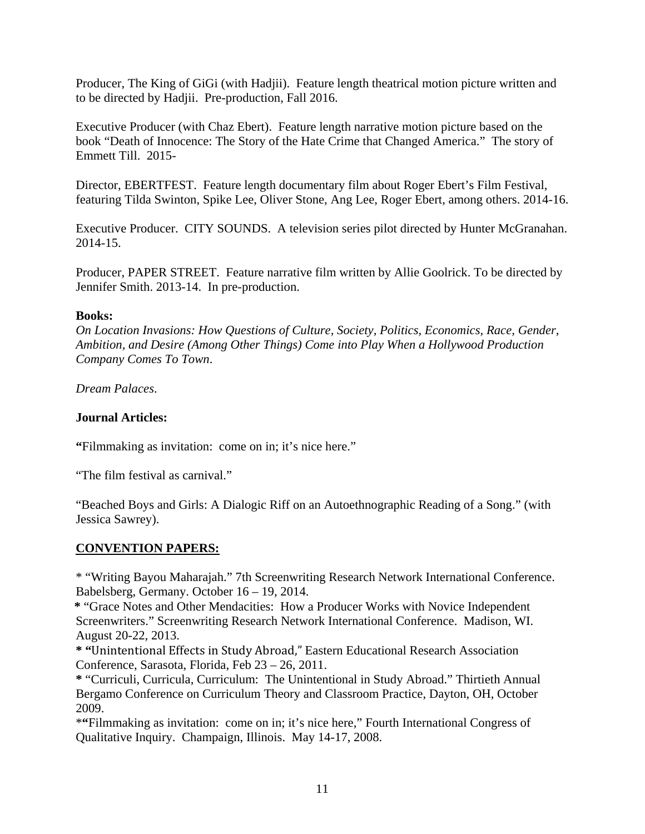Producer, The King of GiGi (with Hadjii). Feature length theatrical motion picture written and to be directed by Hadjii. Pre-production, Fall 2016.

Executive Producer (with Chaz Ebert). Feature length narrative motion picture based on the book "Death of Innocence: The Story of the Hate Crime that Changed America." The story of Emmett Till. 2015-

Director, EBERTFEST. Feature length documentary film about Roger Ebert's Film Festival, featuring Tilda Swinton, Spike Lee, Oliver Stone, Ang Lee, Roger Ebert, among others. 2014-16.

Executive Producer. CITY SOUNDS. A television series pilot directed by Hunter McGranahan. 2014-15.

Producer, PAPER STREET. Feature narrative film written by Allie Goolrick. To be directed by Jennifer Smith. 2013-14. In pre-production.

#### **Books:**

*On Location Invasions: How Questions of Culture, Society, Politics, Economics, Race, Gender, Ambition, and Desire (Among Other Things) Come into Play When a Hollywood Production Company Comes To Town*.

*Dream Palaces*.

#### **Journal Articles:**

**"**Filmmaking as invitation: come on in; it's nice here."

"The film festival as carnival."

"Beached Boys and Girls: A Dialogic Riff on an Autoethnographic Reading of a Song." (with Jessica Sawrey).

### **CONVENTION PAPERS:**

\* "Writing Bayou Maharajah." 7th Screenwriting Research Network International Conference. Babelsberg, Germany. October 16 – 19, 2014.

 **\*** "Grace Notes and Other Mendacities: How a Producer Works with Novice Independent Screenwriters." Screenwriting Research Network International Conference. Madison, WI. August 20-22, 2013.

**\* "**Unintentional Effects in Study Abroad," Eastern Educational Research Association Conference, Sarasota, Florida, Feb 23 – 26, 2011.

**\*** "Curriculi, Curricula, Curriculum: The Unintentional in Study Abroad." Thirtieth Annual Bergamo Conference on Curriculum Theory and Classroom Practice, Dayton, OH, October 2009.

\***"**Filmmaking as invitation: come on in; it's nice here," Fourth International Congress of Qualitative Inquiry. Champaign, Illinois. May 14-17, 2008.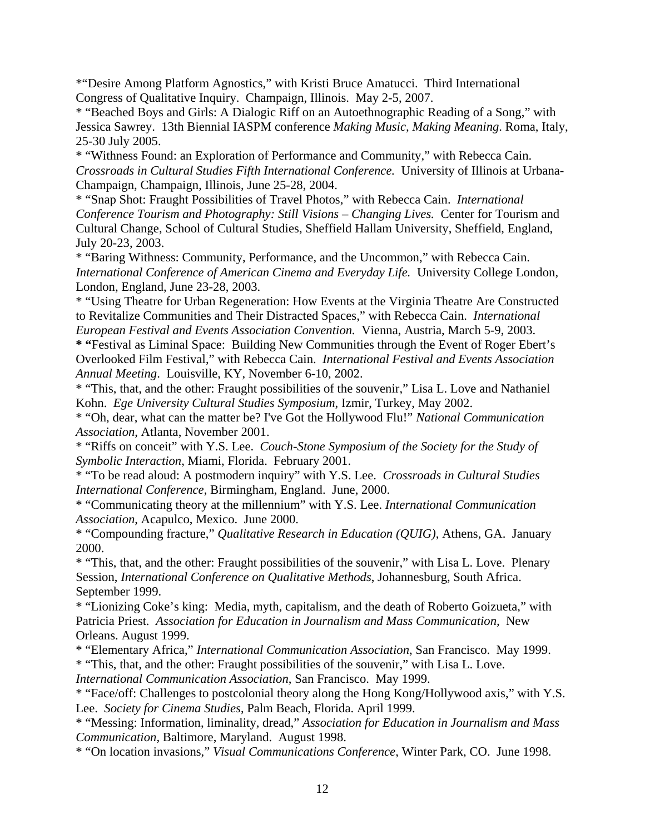\*"Desire Among Platform Agnostics," with Kristi Bruce Amatucci. Third International Congress of Qualitative Inquiry. Champaign, Illinois. May 2-5, 2007.

\* "Beached Boys and Girls: A Dialogic Riff on an Autoethnographic Reading of a Song," with Jessica Sawrey. 13th Biennial IASPM conference *Making Music, Making Meaning*. Roma, Italy, 25-30 July 2005.

\* "Withness Found: an Exploration of Performance and Community," with Rebecca Cain. *Crossroads in Cultural Studies Fifth International Conference.* University of Illinois at Urbana-Champaign, Champaign, Illinois, June 25-28, 2004.

\* "Snap Shot: Fraught Possibilities of Travel Photos," with Rebecca Cain. *International Conference Tourism and Photography: Still Visions – Changing Lives.* Center for Tourism and Cultural Change, School of Cultural Studies, Sheffield Hallam University, Sheffield, England, July 20-23, 2003.

\* "Baring Withness: Community, Performance, and the Uncommon," with Rebecca Cain. *International Conference of American Cinema and Everyday Life.* University College London, London, England, June 23-28, 2003.

\* "Using Theatre for Urban Regeneration: How Events at the Virginia Theatre Are Constructed to Revitalize Communities and Their Distracted Spaces," with Rebecca Cain. *International European Festival and Events Association Convention.* Vienna, Austria, March 5-9, 2003.

**\* "**Festival as Liminal Space: Building New Communities through the Event of Roger Ebert's Overlooked Film Festival," with Rebecca Cain. *International Festival and Events Association Annual Meeting*. Louisville, KY, November 6-10, 2002.

\* "This, that, and the other: Fraught possibilities of the souvenir," Lisa L. Love and Nathaniel Kohn. *Ege University Cultural Studies Symposium*, Izmir, Turkey, May 2002.

\* "Oh, dear, what can the matter be? I've Got the Hollywood Flu!" *National Communication Association*, Atlanta, November 2001.

\* "Riffs on conceit" with Y.S. Lee. *Couch-Stone Symposium of the Society for the Study of Symbolic Interaction*, Miami, Florida. February 2001.

\* "To be read aloud: A postmodern inquiry" with Y.S. Lee. *Crossroads in Cultural Studies International Conference*, Birmingham, England. June, 2000.

\* "Communicating theory at the millennium" with Y.S. Lee. *International Communication Association*, Acapulco, Mexico. June 2000.

\* "Compounding fracture," *Qualitative Research in Education (QUIG)*, Athens, GA. January 2000.

\* "This, that, and the other: Fraught possibilities of the souvenir," with Lisa L. Love. Plenary Session, *International Conference on Qualitative Methods*, Johannesburg, South Africa. September 1999.

\* "Lionizing Coke's king: Media, myth, capitalism, and the death of Roberto Goizueta," with Patricia Priest*. [Association](http://www.aejmc.org/) for Education in Journalism and Mass Communication,* New Orleans. August 1999.

\* "Elementary Africa," *International Communication Association*, San Francisco. May 1999. \* "This, that, and the other: Fraught possibilities of the souvenir," with Lisa L. Love.

*International Communication Association*, San Francisco. May 1999.

\* "Face/off: Challenges to postcolonial theory along the Hong Kong/Hollywood axis," with Y.S. Lee. *Society for Cinema Studies*, Palm Beach, Florida. April 1999.

\* "Messing: Information, liminality, dread," *[Association](http://www.aejmc.org/) for Education in Journalism and Mass Communication,* Baltimore, Maryland. August 1998.

\* "On location invasions," *Visual Communications Conference*, Winter Park, CO. June 1998.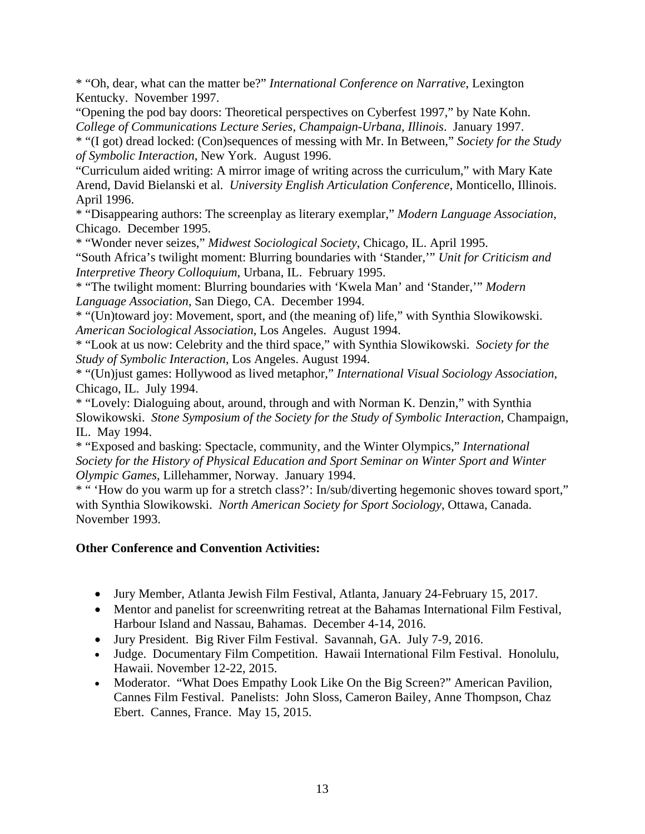\* "Oh, dear, what can the matter be?" *International Conference on Narrative*, Lexington Kentucky. November 1997.

"Opening the pod bay doors: Theoretical perspectives on Cyberfest 1997," by Nate Kohn. *College of Communications Lecture Series, Champaign-Urbana, Illinois*. January 1997.

\* "(I got) dread locked: (Con)sequences of messing with Mr. In Between," *Society for the Study of Symbolic Interaction*, New York. August 1996.

"Curriculum aided writing: A mirror image of writing across the curriculum," with Mary Kate Arend, David Bielanski et al. *University English Articulation Conference*, Monticello, Illinois. April 1996.

\* "Disappearing authors: The screenplay as literary exemplar," *Modern Language Association*, Chicago. December 1995.

\* "Wonder never seizes," *Midwest Sociological Society*, Chicago, IL. April 1995.

"South Africa's twilight moment: Blurring boundaries with 'Stander,'" *Unit for Criticism and Interpretive Theory Colloquium*, Urbana, IL. February 1995.

\* "The twilight moment: Blurring boundaries with 'Kwela Man' and 'Stander,'" *Modern Language Association*, San Diego, CA. December 1994.

\* "(Un)toward joy: Movement, sport, and (the meaning of) life," with Synthia Slowikowski. *American Sociological Association*, Los Angeles. August 1994.

\* "Look at us now: Celebrity and the third space," with Synthia Slowikowski. *Society for the Study of Symbolic Interaction*, Los Angeles. August 1994.

\* "(Un)just games: Hollywood as lived metaphor," *International Visual Sociology Association*, Chicago, IL. July 1994.

\* "Lovely: Dialoguing about, around, through and with Norman K. Denzin," with Synthia Slowikowski. *Stone Symposium of the Society for the Study of Symbolic Interaction*, Champaign, IL. May 1994.

\* "Exposed and basking: Spectacle, community, and the Winter Olympics," *International Society for the History of Physical Education and Sport Seminar on Winter Sport and Winter Olympic Games*, Lillehammer, Norway. January 1994.

\* " 'How do you warm up for a stretch class?': In/sub/diverting hegemonic shoves toward sport," with Synthia Slowikowski. *North American Society for Sport Sociology*, Ottawa, Canada. November 1993.

### **Other Conference and Convention Activities:**

- Jury Member, Atlanta Jewish Film Festival, Atlanta, January 24-February 15, 2017.
- Mentor and panelist for screenwriting retreat at the Bahamas International Film Festival, Harbour Island and Nassau, Bahamas. December 4-14, 2016.
- Jury President. Big River Film Festival. Savannah, GA. July 7-9, 2016.
- Judge. Documentary Film Competition. Hawaii International Film Festival. Honolulu, Hawaii. November 12-22, 2015.
- Moderator. "What Does Empathy Look Like On the Big Screen?" American Pavilion, Cannes Film Festival. Panelists: John Sloss, Cameron Bailey, Anne Thompson, Chaz Ebert. Cannes, France. May 15, 2015.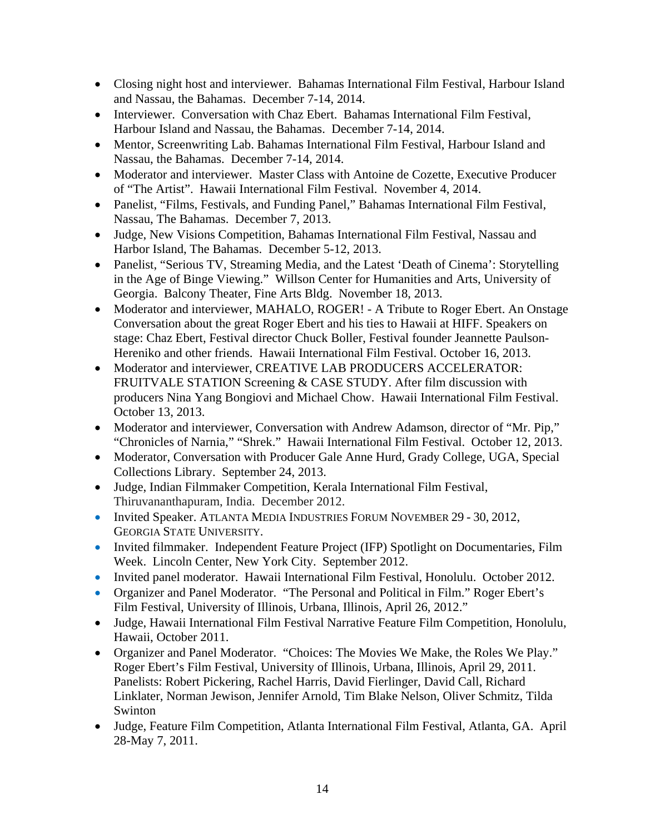- Closing night host and interviewer. Bahamas International Film Festival, Harbour Island and Nassau, the Bahamas. December 7-14, 2014.
- Interviewer. Conversation with Chaz Ebert. Bahamas International Film Festival, Harbour Island and Nassau, the Bahamas. December 7-14, 2014.
- Mentor, Screenwriting Lab. Bahamas International Film Festival, Harbour Island and Nassau, the Bahamas. December 7-14, 2014.
- Moderator and interviewer. Master Class with Antoine de Cozette, Executive Producer of "The Artist". Hawaii International Film Festival. November 4, 2014.
- Panelist, "Films, Festivals, and Funding Panel," Bahamas International Film Festival, Nassau, The Bahamas. December 7, 2013.
- Judge, New Visions Competition, Bahamas International Film Festival, Nassau and Harbor Island, The Bahamas. December 5-12, 2013.
- Panelist, "Serious TV, Streaming Media, and the Latest 'Death of Cinema': Storytelling in the Age of Binge Viewing." Willson Center for Humanities and Arts, University of Georgia. Balcony Theater, Fine Arts Bldg. November 18, 2013.
- Moderator and interviewer, MAHALO, ROGER! A Tribute to Roger Ebert. An Onstage Conversation about the great Roger Ebert and his ties to Hawaii at HIFF. Speakers on stage: Chaz Ebert, Festival director Chuck Boller, Festival founder Jeannette Paulson-Hereniko and other friends. Hawaii International Film Festival. October 16, 2013.
- Moderator and interviewer, CREATIVE LAB PRODUCERS ACCELERATOR: FRUITVALE STATION Screening & CASE STUDY. After film discussion with producers Nina Yang Bongiovi and Michael Chow. Hawaii International Film Festival. October 13, 2013.
- Moderator and interviewer, Conversation with Andrew Adamson, director of "Mr. Pip," "Chronicles of Narnia," "Shrek." Hawaii International Film Festival. October 12, 2013.
- Moderator, Conversation with Producer Gale Anne Hurd, Grady College, UGA, Special Collections Library. September 24, 2013.
- Judge, Indian Filmmaker Competition, Kerala International Film Festival, Thiruvananthapuram, India. December 2012.
- Invited Speaker. ATLANTA MEDIA INDUSTRIES FORUM NOVEMBER 29 30, 2012, GEORGIA STATE UNIVERSITY.
- Invited filmmaker. Independent Feature Project (IFP) Spotlight on Documentaries, Film Week. Lincoln Center, New York City. September 2012.
- Invited panel moderator. Hawaii International Film Festival, Honolulu. October 2012.
- Organizer and Panel Moderator. "The Personal and Political in Film." Roger Ebert's Film Festival, University of Illinois, Urbana, Illinois, April 26, 2012."
- Judge, Hawaii International Film Festival Narrative Feature Film Competition, Honolulu, Hawaii, October 2011.
- Organizer and Panel Moderator. "Choices: The Movies We Make, the Roles We Play." Roger Ebert's Film Festival, University of Illinois, Urbana, Illinois, April 29, 2011. Panelists: Robert Pickering, Rachel Harris, David Fierlinger, David Call, Richard Linklater, Norman Jewison, Jennifer Arnold, Tim Blake Nelson, Oliver Schmitz, Tilda Swinton
- Judge, Feature Film Competition, Atlanta International Film Festival, Atlanta, GA. April 28-May 7, 2011.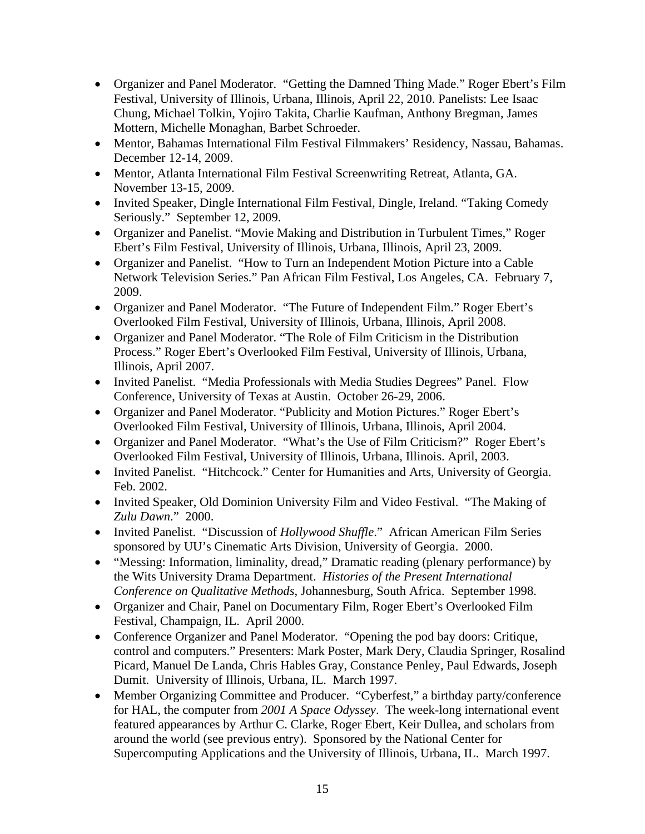- Organizer and Panel Moderator. "Getting the Damned Thing Made." Roger Ebert's Film Festival, University of Illinois, Urbana, Illinois, April 22, 2010. Panelists: Lee Isaac Chung, Michael Tolkin, Yojiro Takita, Charlie Kaufman, Anthony Bregman, James Mottern, Michelle Monaghan, Barbet Schroeder.
- Mentor, Bahamas International Film Festival Filmmakers' Residency, Nassau, Bahamas. December 12-14, 2009.
- Mentor, Atlanta International Film Festival Screenwriting Retreat, Atlanta, GA. November 13-15, 2009.
- Invited Speaker, Dingle International Film Festival, Dingle, Ireland. "Taking Comedy Seriously." September 12, 2009.
- Organizer and Panelist. "Movie Making and Distribution in Turbulent Times," Roger Ebert's Film Festival, University of Illinois, Urbana, Illinois, April 23, 2009.
- Organizer and Panelist. "How to Turn an Independent Motion Picture into a Cable Network Television Series." Pan African Film Festival, Los Angeles, CA. February 7, 2009.
- Organizer and Panel Moderator. "The Future of Independent Film." Roger Ebert's Overlooked Film Festival, University of Illinois, Urbana, Illinois, April 2008.
- Organizer and Panel Moderator. "The Role of Film Criticism in the Distribution Process." Roger Ebert's Overlooked Film Festival, University of Illinois, Urbana, Illinois, April 2007.
- Invited Panelist. "Media Professionals with Media Studies Degrees" Panel. Flow Conference, University of Texas at Austin. October 26-29, 2006.
- Organizer and Panel Moderator. "Publicity and Motion Pictures." Roger Ebert's Overlooked Film Festival, University of Illinois, Urbana, Illinois, April 2004.
- Organizer and Panel Moderator. "What's the Use of Film Criticism?" Roger Ebert's Overlooked Film Festival, University of Illinois, Urbana, Illinois. April, 2003.
- Invited Panelist. "Hitchcock." Center for Humanities and Arts, University of Georgia. Feb. 2002.
- Invited Speaker, Old Dominion University Film and Video Festival. "The Making of *Zulu Dawn*." 2000.
- Invited Panelist. "Discussion of *Hollywood Shuffle*." African American Film Series sponsored by UU's Cinematic Arts Division, University of Georgia. 2000.
- "Messing: Information, liminality, dread," Dramatic reading (plenary performance) by the Wits University Drama Department. *Histories of the Present International Conference on Qualitative Methods*, Johannesburg, South Africa. September 1998.
- Organizer and Chair, Panel on Documentary Film, Roger Ebert's Overlooked Film Festival, Champaign, IL. April 2000.
- Conference Organizer and Panel Moderator. "Opening the pod bay doors: Critique, control and computers." Presenters: Mark Poster, Mark Dery, Claudia Springer, Rosalind Picard, Manuel De Landa, Chris Hables Gray, Constance Penley, Paul Edwards, Joseph Dumit. University of Illinois, Urbana, IL. March 1997.
- Member Organizing Committee and Producer. "Cyberfest," a birthday party/conference for HAL, the computer from *2001 A Space Odyssey*. The week-long international event featured appearances by Arthur C. Clarke, Roger Ebert, Keir Dullea, and scholars from around the world (see previous entry). Sponsored by the National Center for Supercomputing Applications and the University of Illinois, Urbana, IL. March 1997.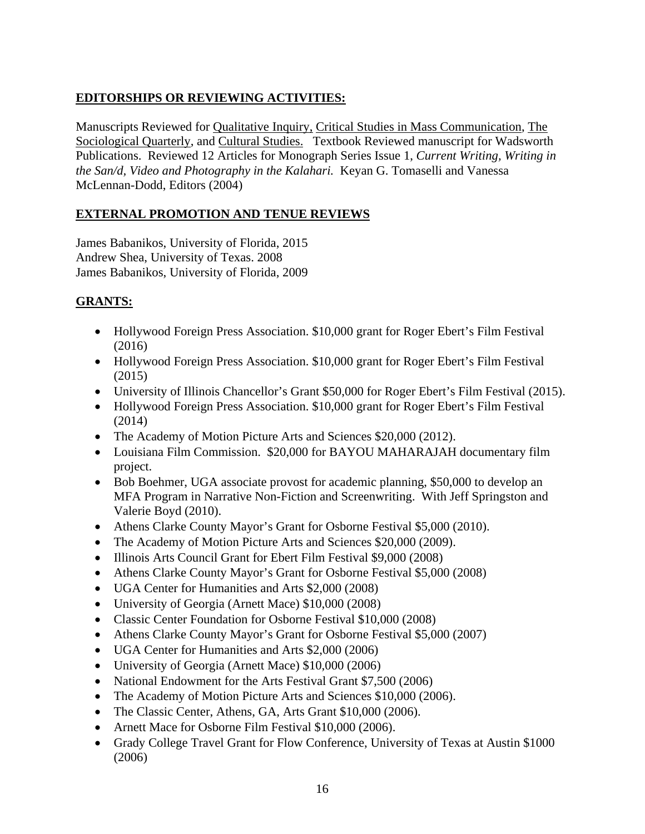# **EDITORSHIPS OR REVIEWING ACTIVITIES:**

Manuscripts Reviewed for Qualitative Inquiry, Critical Studies in Mass Communication, The Sociological Quarterly, and Cultural Studies. Textbook Reviewed manuscript for Wadsworth Publications. Reviewed 12 Articles for Monograph Series Issue 1, *Current Writing, Writing in the San/d, Video and Photography in the Kalahari.* Keyan G. Tomaselli and Vanessa McLennan-Dodd, Editors (2004)

## **EXTERNAL PROMOTION AND TENUE REVIEWS**

James Babanikos, University of Florida, 2015 Andrew Shea, University of Texas. 2008 James Babanikos, University of Florida, 2009

### **GRANTS:**

- Hollywood Foreign Press Association. \$10,000 grant for Roger Ebert's Film Festival (2016)
- Hollywood Foreign Press Association. \$10,000 grant for Roger Ebert's Film Festival (2015)
- University of Illinois Chancellor's Grant \$50,000 for Roger Ebert's Film Festival (2015).
- Hollywood Foreign Press Association. \$10,000 grant for Roger Ebert's Film Festival (2014)
- The Academy of Motion Picture Arts and Sciences \$20,000 (2012).
- Louisiana Film Commission. \$20,000 for BAYOU MAHARAJAH documentary film project.
- Bob Boehmer, UGA associate provost for academic planning, \$50,000 to develop an MFA Program in Narrative Non-Fiction and Screenwriting. With Jeff Springston and Valerie Boyd (2010).
- Athens Clarke County Mayor's Grant for Osborne Festival \$5,000 (2010).
- The Academy of Motion Picture Arts and Sciences \$20,000 (2009).
- Illinois Arts Council Grant for Ebert Film Festival \$9,000 (2008)
- Athens Clarke County Mayor's Grant for Osborne Festival \$5,000 (2008)
- UGA Center for Humanities and Arts \$2,000 (2008)
- University of Georgia (Arnett Mace) \$10,000 (2008)
- Classic Center Foundation for Osborne Festival \$10,000 (2008)
- Athens Clarke County Mayor's Grant for Osborne Festival \$5,000 (2007)
- UGA Center for Humanities and Arts \$2,000 (2006)
- University of Georgia (Arnett Mace) \$10,000 (2006)
- National Endowment for the Arts Festival Grant \$7,500 (2006)
- The Academy of Motion Picture Arts and Sciences \$10,000 (2006).
- The Classic Center, Athens, GA, Arts Grant \$10,000 (2006).
- Arnett Mace for Osborne Film Festival \$10,000 (2006).
- Grady College Travel Grant for Flow Conference, University of Texas at Austin \$1000 (2006)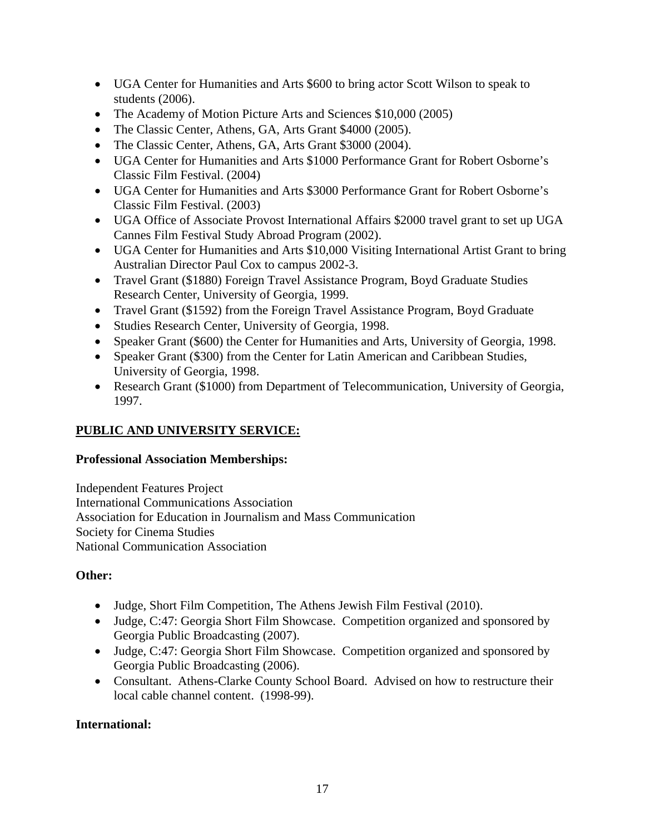- UGA Center for Humanities and Arts \$600 to bring actor Scott Wilson to speak to students (2006).
- The Academy of Motion Picture Arts and Sciences \$10,000 (2005)
- The Classic Center, Athens, GA, Arts Grant \$4000 (2005).
- The Classic Center, Athens, GA, Arts Grant \$3000 (2004).
- UGA Center for Humanities and Arts \$1000 Performance Grant for Robert Osborne's Classic Film Festival. (2004)
- UGA Center for Humanities and Arts \$3000 Performance Grant for Robert Osborne's Classic Film Festival. (2003)
- UGA Office of Associate Provost International Affairs \$2000 travel grant to set up UGA Cannes Film Festival Study Abroad Program (2002).
- UGA Center for Humanities and Arts \$10,000 Visiting International Artist Grant to bring Australian Director Paul Cox to campus 2002-3.
- Travel Grant (\$1880) Foreign Travel Assistance Program, Boyd Graduate Studies Research Center, University of Georgia, 1999.
- Travel Grant (\$1592) from the Foreign Travel Assistance Program, Boyd Graduate
- Studies Research Center, University of Georgia, 1998.
- Speaker Grant (\$600) the Center for Humanities and Arts, University of Georgia, 1998.
- Speaker Grant (\$300) from the Center for Latin American and Caribbean Studies, University of Georgia, 1998.
- Research Grant (\$1000) from Department of Telecommunication, University of Georgia, 1997.

# **PUBLIC AND UNIVERSITY SERVICE:**

### **Professional Association Memberships:**

Independent Features Project International Communications Association Association for Education in Journalism and Mass Communication Society for Cinema Studies National Communication Association

## **Other:**

- Judge, Short Film Competition, The Athens Jewish Film Festival (2010).
- Judge, C:47: Georgia Short Film Showcase. Competition organized and sponsored by Georgia Public Broadcasting (2007).
- Judge, C:47: Georgia Short Film Showcase. Competition organized and sponsored by Georgia Public Broadcasting (2006).
- Consultant. Athens-Clarke County School Board. Advised on how to restructure their local cable channel content. (1998-99).

## **International:**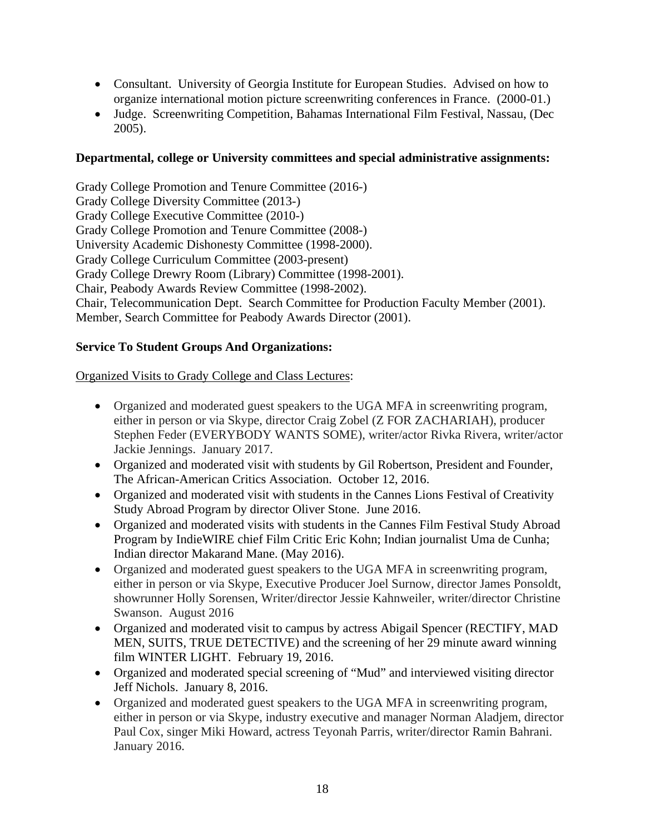- Consultant. University of Georgia Institute for European Studies. Advised on how to organize international motion picture screenwriting conferences in France. (2000-01.)
- Judge. Screenwriting Competition, Bahamas International Film Festival, Nassau, (Dec 2005).

#### **Departmental, college or University committees and special administrative assignments:**

Grady College Promotion and Tenure Committee (2016-) Grady College Diversity Committee (2013-) Grady College Executive Committee (2010-) Grady College Promotion and Tenure Committee (2008-) University Academic Dishonesty Committee (1998-2000). Grady College Curriculum Committee (2003-present) Grady College Drewry Room (Library) Committee (1998-2001). Chair, Peabody Awards Review Committee (1998-2002). Chair, Telecommunication Dept. Search Committee for Production Faculty Member (2001). Member, Search Committee for Peabody Awards Director (2001).

#### **Service To Student Groups And Organizations:**

#### Organized Visits to Grady College and Class Lectures:

- Organized and moderated guest speakers to the UGA MFA in screenwriting program, either in person or via Skype, director Craig Zobel (Z FOR ZACHARIAH), producer Stephen Feder (EVERYBODY WANTS SOME), writer/actor Rivka Rivera, writer/actor Jackie Jennings. January 2017.
- Organized and moderated visit with students by Gil Robertson, President and Founder, The African-American Critics Association. October 12, 2016.
- Organized and moderated visit with students in the Cannes Lions Festival of Creativity Study Abroad Program by director Oliver Stone. June 2016.
- Organized and moderated visits with students in the Cannes Film Festival Study Abroad Program by IndieWIRE chief Film Critic Eric Kohn; Indian journalist Uma de Cunha; Indian director Makarand Mane. (May 2016).
- Organized and moderated guest speakers to the UGA MFA in screenwriting program, either in person or via Skype, Executive Producer Joel Surnow, director James Ponsoldt, showrunner Holly Sorensen, Writer/director Jessie Kahnweiler, writer/director Christine Swanson. August 2016
- Organized and moderated visit to campus by actress Abigail Spencer (RECTIFY, MAD MEN, SUITS, TRUE DETECTIVE) and the screening of her 29 minute award winning film WINTER LIGHT. February 19, 2016.
- Organized and moderated special screening of "Mud" and interviewed visiting director Jeff Nichols. January 8, 2016.
- Organized and moderated guest speakers to the UGA MFA in screenwriting program, either in person or via Skype, industry executive and manager Norman Aladjem, director Paul Cox, singer Miki Howard, actress Teyonah Parris, writer/director Ramin Bahrani. January 2016.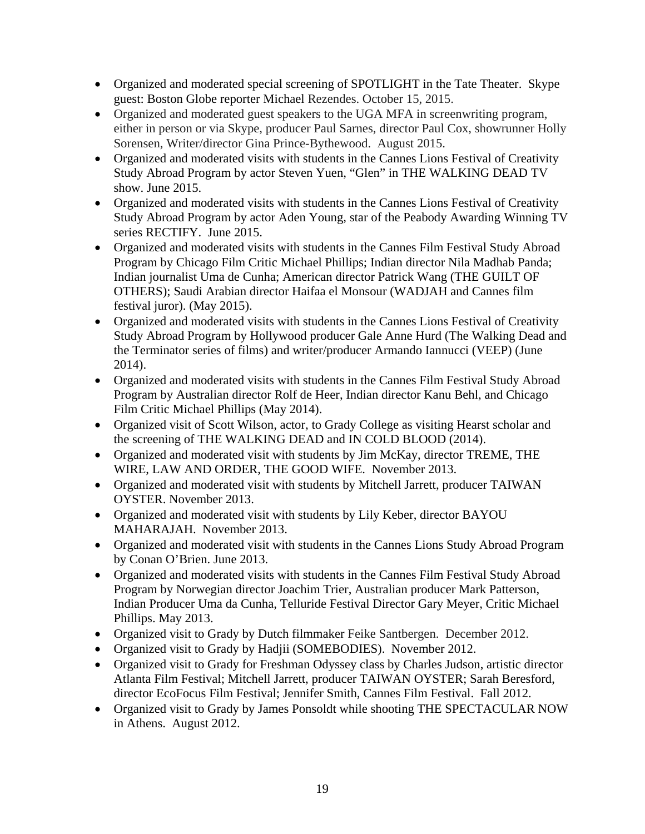- Organized and moderated special screening of SPOTLIGHT in the Tate Theater. Skype guest: Boston Globe reporter Michael Rezendes. October 15, 2015.
- Organized and moderated guest speakers to the UGA MFA in screenwriting program, either in person or via Skype, producer Paul Sarnes, director Paul Cox, showrunner Holly Sorensen, Writer/director Gina Prince-Bythewood. August 2015.
- Organized and moderated visits with students in the Cannes Lions Festival of Creativity Study Abroad Program by actor Steven Yuen, "Glen" in THE WALKING DEAD TV show. June 2015.
- Organized and moderated visits with students in the Cannes Lions Festival of Creativity Study Abroad Program by actor Aden Young, star of the Peabody Awarding Winning TV series RECTIFY. June 2015.
- Organized and moderated visits with students in the Cannes Film Festival Study Abroad Program by Chicago Film Critic Michael Phillips; Indian director Nila Madhab Panda; Indian journalist Uma de Cunha; American director Patrick Wang (THE GUILT OF OTHERS); Saudi Arabian director Haifaa el Monsour (WADJAH and Cannes film festival juror). (May 2015).
- Organized and moderated visits with students in the Cannes Lions Festival of Creativity Study Abroad Program by Hollywood producer Gale Anne Hurd (The Walking Dead and the Terminator series of films) and writer/producer Armando Iannucci (VEEP) (June 2014).
- Organized and moderated visits with students in the Cannes Film Festival Study Abroad Program by Australian director Rolf de Heer, Indian director Kanu Behl, and Chicago Film Critic Michael Phillips (May 2014).
- Organized visit of Scott Wilson, actor, to Grady College as visiting Hearst scholar and the screening of THE WALKING DEAD and IN COLD BLOOD (2014).
- Organized and moderated visit with students by Jim McKay, director TREME, THE WIRE, LAW AND ORDER, THE GOOD WIFE. November 2013.
- Organized and moderated visit with students by Mitchell Jarrett, producer TAIWAN OYSTER. November 2013.
- Organized and moderated visit with students by Lily Keber, director BAYOU MAHARAJAH. November 2013.
- Organized and moderated visit with students in the Cannes Lions Study Abroad Program by Conan O'Brien. June 2013.
- Organized and moderated visits with students in the Cannes Film Festival Study Abroad Program by Norwegian director Joachim Trier, Australian producer Mark Patterson, Indian Producer Uma da Cunha, Telluride Festival Director Gary Meyer, Critic Michael Phillips. May 2013.
- Organized visit to Grady by Dutch filmmaker Feike Santbergen. December 2012.
- Organized visit to Grady by Hadjii (SOMEBODIES). November 2012.
- Organized visit to Grady for Freshman Odyssey class by Charles Judson, artistic director Atlanta Film Festival; Mitchell Jarrett, producer TAIWAN OYSTER; Sarah Beresford, director EcoFocus Film Festival; Jennifer Smith, Cannes Film Festival. Fall 2012.
- Organized visit to Grady by James Ponsoldt while shooting THE SPECTACULAR NOW in Athens. August 2012.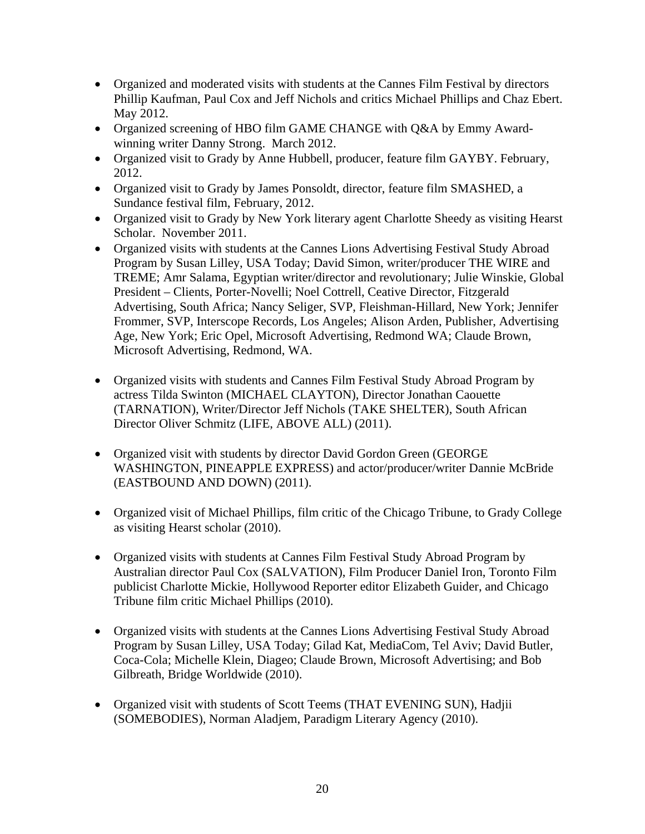- Organized and moderated visits with students at the Cannes Film Festival by directors Phillip Kaufman, Paul Cox and Jeff Nichols and critics Michael Phillips and Chaz Ebert. May 2012.
- Organized screening of HBO film GAME CHANGE with Q&A by Emmy Awardwinning writer Danny Strong. March 2012.
- Organized visit to Grady by Anne Hubbell, producer, feature film GAYBY. February, 2012.
- Organized visit to Grady by James Ponsoldt, director, feature film SMASHED, a Sundance festival film, February, 2012.
- Organized visit to Grady by New York literary agent Charlotte Sheedy as visiting Hearst Scholar. November 2011.
- Organized visits with students at the Cannes Lions Advertising Festival Study Abroad Program by Susan Lilley, USA Today; David Simon, writer/producer THE WIRE and TREME; Amr Salama, Egyptian writer/director and revolutionary; Julie Winskie, Global President – Clients, Porter-Novelli; Noel Cottrell, Ceative Director, Fitzgerald Advertising, South Africa; Nancy Seliger, SVP, Fleishman-Hillard, New York; Jennifer Frommer, SVP, Interscope Records, Los Angeles; Alison Arden, Publisher, Advertising Age, New York; Eric Opel, Microsoft Advertising, Redmond WA; Claude Brown, Microsoft Advertising, Redmond, WA.
- Organized visits with students and Cannes Film Festival Study Abroad Program by actress Tilda Swinton (MICHAEL CLAYTON), Director Jonathan Caouette (TARNATION), Writer/Director Jeff Nichols (TAKE SHELTER), South African Director Oliver Schmitz (LIFE, ABOVE ALL) (2011).
- Organized visit with students by director David Gordon Green (GEORGE WASHINGTON, PINEAPPLE EXPRESS) and actor/producer/writer Dannie McBride (EASTBOUND AND DOWN) (2011).
- Organized visit of Michael Phillips, film critic of the Chicago Tribune, to Grady College as visiting Hearst scholar (2010).
- Organized visits with students at Cannes Film Festival Study Abroad Program by Australian director Paul Cox (SALVATION), Film Producer Daniel Iron, Toronto Film publicist Charlotte Mickie, Hollywood Reporter editor Elizabeth Guider, and Chicago Tribune film critic Michael Phillips (2010).
- Organized visits with students at the Cannes Lions Advertising Festival Study Abroad Program by Susan Lilley, USA Today; Gilad Kat, MediaCom, Tel Aviv; David Butler, Coca-Cola; Michelle Klein, Diageo; Claude Brown, Microsoft Advertising; and Bob Gilbreath, Bridge Worldwide (2010).
- Organized visit with students of Scott Teems (THAT EVENING SUN), Hadjii (SOMEBODIES), Norman Aladjem, Paradigm Literary Agency (2010).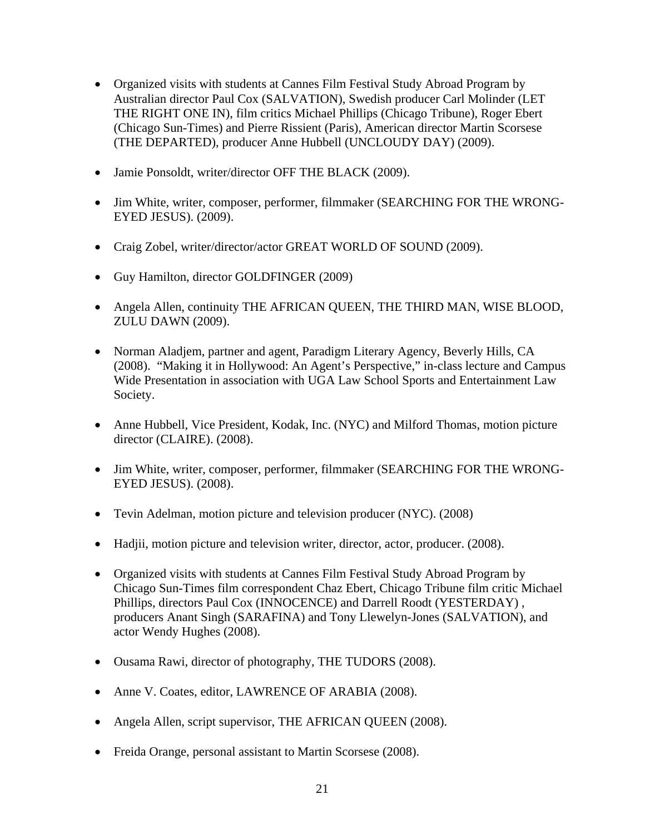- Organized visits with students at Cannes Film Festival Study Abroad Program by Australian director Paul Cox (SALVATION), Swedish producer Carl Molinder (LET THE RIGHT ONE IN), film critics Michael Phillips (Chicago Tribune), Roger Ebert (Chicago Sun-Times) and Pierre Rissient (Paris), American director Martin Scorsese (THE DEPARTED), producer Anne Hubbell (UNCLOUDY DAY) (2009).
- Jamie Ponsoldt, writer/director OFF THE BLACK (2009).
- Jim White, writer, composer, performer, filmmaker (SEARCHING FOR THE WRONG-EYED JESUS). (2009).
- Craig Zobel, writer/director/actor GREAT WORLD OF SOUND (2009).
- Guy Hamilton, director GOLDFINGER (2009)
- Angela Allen, continuity THE AFRICAN QUEEN, THE THIRD MAN, WISE BLOOD, ZULU DAWN (2009).
- Norman Aladjem, partner and agent, Paradigm Literary Agency, Beverly Hills, CA (2008). "Making it in Hollywood: An Agent's Perspective," in-class lecture and Campus Wide Presentation in association with UGA Law School Sports and Entertainment Law Society.
- Anne Hubbell, Vice President, Kodak, Inc. (NYC) and Milford Thomas, motion picture director (CLAIRE). (2008).
- Jim White, writer, composer, performer, filmmaker (SEARCHING FOR THE WRONG-EYED JESUS). (2008).
- Tevin Adelman, motion picture and television producer (NYC). (2008)
- Hadjii, motion picture and television writer, director, actor, producer. (2008).
- Organized visits with students at Cannes Film Festival Study Abroad Program by Chicago Sun-Times film correspondent Chaz Ebert, Chicago Tribune film critic Michael Phillips, directors Paul Cox (INNOCENCE) and Darrell Roodt (YESTERDAY) , producers Anant Singh (SARAFINA) and Tony Llewelyn-Jones (SALVATION), and actor Wendy Hughes (2008).
- Ousama Rawi, director of photography, THE TUDORS (2008).
- Anne V. Coates, editor, LAWRENCE OF ARABIA (2008).
- Angela Allen, script supervisor, THE AFRICAN QUEEN (2008).
- Freida Orange, personal assistant to Martin Scorsese (2008).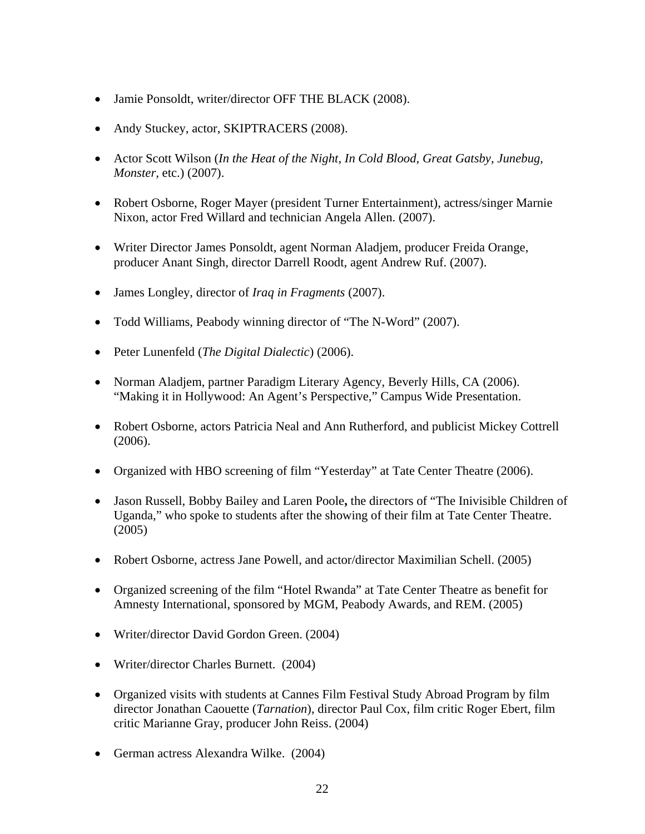- Jamie Ponsoldt, writer/director OFF THE BLACK (2008).
- Andy Stuckey, actor, SKIPTRACERS (2008).
- Actor Scott Wilson (*In the Heat of the Night, In Cold Blood, Great Gatsby, Junebug, Monster,* etc.) (2007).
- Robert Osborne, Roger Mayer (president Turner Entertainment), actress/singer Marnie Nixon, actor Fred Willard and technician Angela Allen. (2007).
- Writer Director James Ponsoldt, agent Norman Aladjem, producer Freida Orange, producer Anant Singh, director Darrell Roodt, agent Andrew Ruf. (2007).
- James Longley, director of *Iraq in Fragments* (2007).
- Todd Williams, Peabody winning director of "The N-Word" (2007).
- Peter Lunenfeld (*The Digital Dialectic*) (2006).
- Norman Aladjem, partner Paradigm Literary Agency, Beverly Hills, CA (2006). "Making it in Hollywood: An Agent's Perspective," Campus Wide Presentation.
- Robert Osborne, actors Patricia Neal and Ann Rutherford, and publicist Mickey Cottrell (2006).
- Organized with HBO screening of film "Yesterday" at Tate Center Theatre (2006).
- Jason Russell, Bobby Bailey and Laren Poole**,** the directors of "The Inivisible Children of Uganda," who spoke to students after the showing of their film at Tate Center Theatre. (2005)
- Robert Osborne, actress Jane Powell, and actor/director Maximilian Schell. (2005)
- Organized screening of the film "Hotel Rwanda" at Tate Center Theatre as benefit for Amnesty International, sponsored by MGM, Peabody Awards, and REM. (2005)
- Writer/director David Gordon Green. (2004)
- Writer/director Charles Burnett. (2004)
- Organized visits with students at Cannes Film Festival Study Abroad Program by film director Jonathan Caouette (*Tarnation*), director Paul Cox, film critic Roger Ebert, film critic Marianne Gray, producer John Reiss. (2004)
- German actress Alexandra Wilke. (2004)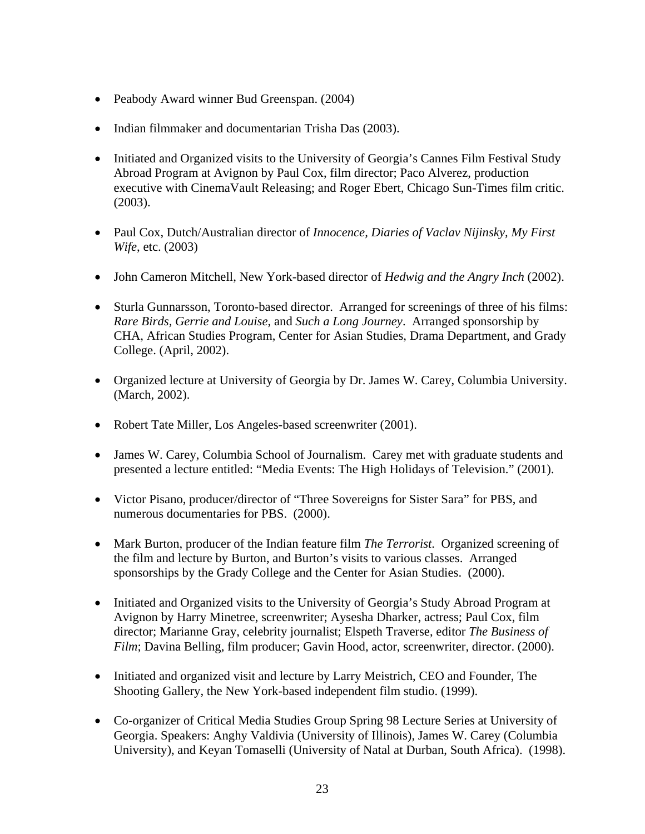- Peabody Award winner Bud Greenspan. (2004)
- Indian filmmaker and documentarian Trisha Das (2003).
- Initiated and Organized visits to the University of Georgia's Cannes Film Festival Study Abroad Program at Avignon by Paul Cox, film director; Paco Alverez, production executive with CinemaVault Releasing; and Roger Ebert, Chicago Sun-Times film critic. (2003).
- Paul Cox, Dutch/Australian director of *Innocence, Diaries of Vaclav Nijinsky, My First Wife*, etc. (2003)
- John Cameron Mitchell, New York-based director of *Hedwig and the Angry Inch* (2002).
- Sturla Gunnarsson, Toronto-based director. Arranged for screenings of three of his films: *Rare Birds, Gerrie and Louise*, and *Such a Long Journey*. Arranged sponsorship by CHA, African Studies Program, Center for Asian Studies, Drama Department, and Grady College. (April, 2002).
- Organized lecture at University of Georgia by Dr. James W. Carey, Columbia University. (March, 2002).
- Robert Tate Miller, Los Angeles-based screenwriter (2001).
- James W. Carey, Columbia School of Journalism. Carey met with graduate students and presented a lecture entitled: "Media Events: The High Holidays of Television." (2001).
- Victor Pisano, producer/director of "Three Sovereigns for Sister Sara" for PBS, and numerous documentaries for PBS. (2000).
- Mark Burton, producer of the Indian feature film *The Terrorist*. Organized screening of the film and lecture by Burton, and Burton's visits to various classes. Arranged sponsorships by the Grady College and the Center for Asian Studies. (2000).
- Initiated and Organized visits to the University of Georgia's Study Abroad Program at Avignon by Harry Minetree, screenwriter; Aysesha Dharker, actress; Paul Cox, film director; Marianne Gray, celebrity journalist; Elspeth Traverse, editor *The Business of Film*; Davina Belling, film producer; Gavin Hood, actor, screenwriter, director. (2000).
- Initiated and organized visit and lecture by Larry Meistrich, CEO and Founder, The Shooting Gallery, the New York-based independent film studio. (1999).
- Co-organizer of Critical Media Studies Group Spring 98 Lecture Series at University of Georgia. Speakers: Anghy Valdivia (University of Illinois), James W. Carey (Columbia University), and Keyan Tomaselli (University of Natal at Durban, South Africa). (1998).